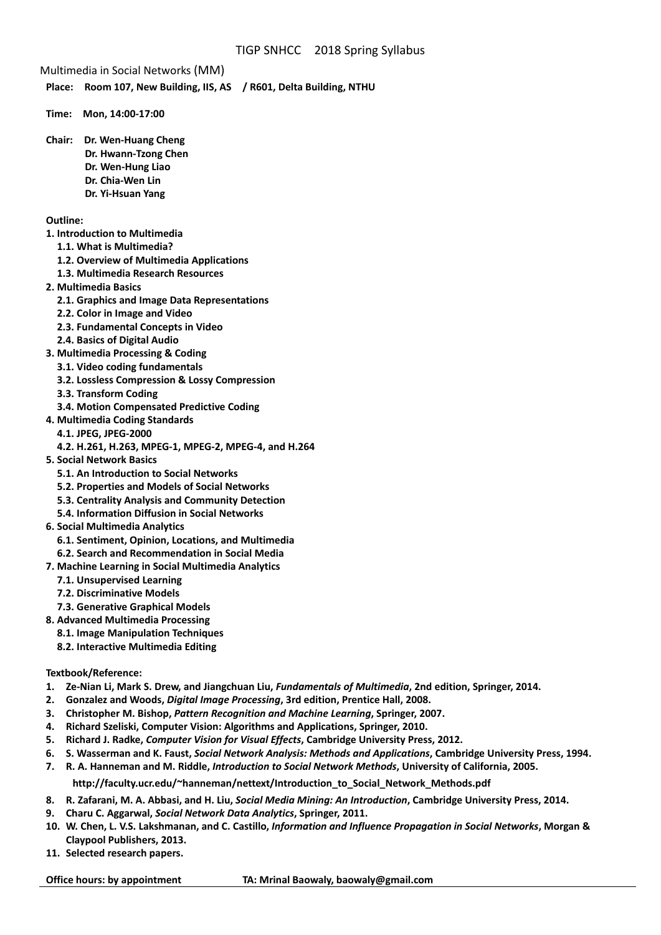Multimedia in Social Networks (MM)

**Place: Room 107, New Building, IIS, AS / R601, Delta Building, NTHU** 

- **Time: Mon, 14:00‐17:00**
- **Chair: Dr. Wen‐Huang Cheng Dr. Hwann‐Tzong Chen Dr. Wen‐Hung Liao Dr. Chia‐Wen Lin** 
	- **Dr. Yi‐Hsuan Yang**

## **Outline:**

- **1. Introduction to Multimedia**
	- **1.1. What is Multimedia?**
	- **1.2. Overview of Multimedia Applications**
	- **1.3. Multimedia Research Resources**
- **2. Multimedia Basics**
	- **2.1. Graphics and Image Data Representations**
	- **2.2. Color in Image and Video**
	- **2.3. Fundamental Concepts in Video**
	- **2.4. Basics of Digital Audio**
- **3. Multimedia Processing & Coding**
	- **3.1. Video coding fundamentals**
	- **3.2. Lossless Compression & Lossy Compression**
	- **3.3. Transform Coding**
	- **3.4. Motion Compensated Predictive Coding**
- **4. Multimedia Coding Standards**
	- **4.1. JPEG, JPEG‐2000**
- **4.2. H.261, H.263, MPEG‐1, MPEG‐2, MPEG‐4, and H.264**
- **5. Social Network Basics**
	- **5.1. An Introduction to Social Networks**
	- **5.2. Properties and Models of Social Networks**
	- **5.3. Centrality Analysis and Community Detection**
	- **5.4. Information Diffusion in Social Networks**
- **6. Social Multimedia Analytics**
	- **6.1. Sentiment, Opinion, Locations, and Multimedia**
	- **6.2. Search and Recommendation in Social Media**
- **7. Machine Learning in Social Multimedia Analytics**
	- **7.1. Unsupervised Learning**
	- **7.2. Discriminative Models**
- **7.3. Generative Graphical Models**
- **8. Advanced Multimedia Processing**
	- **8.1. Image Manipulation Techniques**
	- **8.2. Interactive Multimedia Editing**

## **Textbook/Reference:**

- 1. Ze-Nian Li, Mark S. Drew, and Jiangchuan Liu, Fundamentals of Multimedia, 2nd edition, Springer, 2014.
- **2. Gonzalez and Woods,** *Digital Image Processing***, 3rd edition, Prentice Hall, 2008.**
- **3. Christopher M. Bishop,** *Pattern Recognition and Machine Learning***, Springer, 2007.**
- **4. Richard Szeliski, Computer Vision: Algorithms and Applications, Springer, 2010.**
- **5. Richard J. Radke,** *Computer Vision for Visual Effects***, Cambridge University Press, 2012.**
- 6. S. Wasserman and K. Faust, Social Network Analysis: Methods and Applications, Cambridge University Press, 1994.
- 7. R. A. Hanneman and M. Riddle, Introduction to Social Network Methods, University of California, 2005.

## **http://faculty.ucr.edu/~hanneman/nettext/Introduction\_to\_Social\_Network\_Methods.pdf**

- 8. R. Zafarani, M. A. Abbasi, and H. Liu, Social Media Mining: An Introduction, Cambridge University Press, 2014.
- **9. Charu C. Aggarwal,** *Social Network Data Analytics***, Springer, 2011.**
- 10. W. Chen, L. V.S. Lakshmanan, and C. Castillo, Information and Influence Propagation in Social Networks, Morgan & **Claypool Publishers, 2013.**
- **11. Selected research papers.**